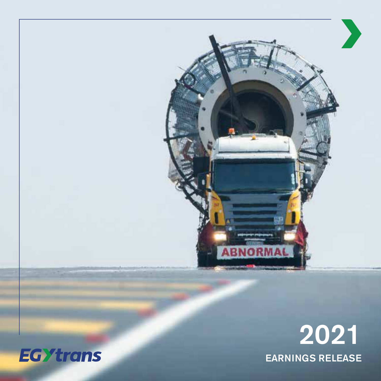

# 2021 EARNINGS RELEASE

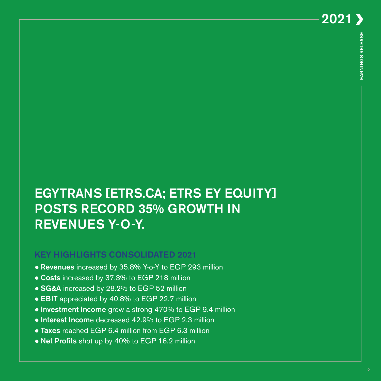# EGYTRANS [ETRS.CA; ETRS EY EQUITY] **POSTS RECORD 35% GROWTH IN** REVENUES Y-O-Y.

# **KEY HIGHLIGHTS CONSOLIDATED 2021**

- **Revenues** increased by 35.8% Y-o-Y to EGP 293 million
- $\bullet$  Costs increased by 37.3% to EGP 218 million
- SG&A increased by 28.2% to EGP 52 million
- **EBIT** appreciated by 40.8% to EGP 22.7 million
- **Investment Income** grew a strong 470% to EGP 9.4 million
- **Interest Income** decreased 42.9% to EGP 2.3 million
- **Taxes** reached EGP 6.4 million from EGP 6.3 million
- **Net Profits** shot up by 40% to EGP 18.2 million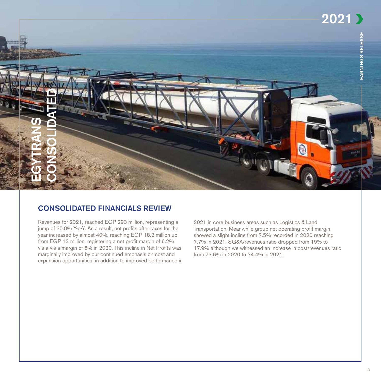

## **CONSOLIDATED FINANCIALS REVIEW**

Revenues for 2021, reached EGP 293 million, representing a jump of 35.8% Y-o-Y. As a result, net profits after taxes for the year increased by almost 40%, reaching EGP 18.2 million up from EGP 13 million, registering a net profit margin of 6.2% vis-a-vis a margin of 6% in 2020. This incline in Net Profits was marginally improved by our continued emphasis on cost and expansion opportunities, in addition to improved performance in

2021 in core business areas such as Logistics & Land Transportation. Meanwhile group net operating profit margin showed a slight incline from 7.5% recorded in 2020 reaching 7.7% in 2021. SG&A/revenues ratio dropped from 19% to 17.9% although we witnessed an increase in cost/revenues ratio from 73.6% in 2020 to 74.4% in 2021.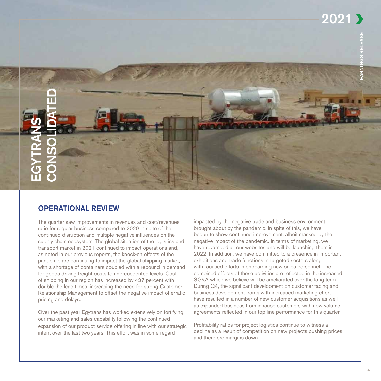2021



## **OPERATIONAL REVIEW**

The quarter saw improvements in revenues and cost/revenues ratio for regular business compared to 2020 in spite of the continued disruption and multiple negative influences on the supply chain ecosystem. The global situation of the logistics and transport market in 2021 continued to impact operations and, as noted in our previous reports, the knock-on effects of the pandemic are continuing to impact the global shipping market, with a shortage of containers coupled with a rebound in demand for goods driving freight costs to unprecedented levels. Cost of shipping in our region has increased by 437 percent with double the lead times, increasing the need for strong Customer Relationship Management to offset the negative impact of erratic pricing and delays.

Over the past year Egytrans has worked extensively on fortifying our marketing and sales capability following the continued expansion of our product service offering in line with our strategic intent over the last two years. This effort was in some regard

impacted by the negative trade and business environment brought about by the pandemic. In spite of this, we have begun to show continued improvement, albeit masked by the negative impact of the pandemic. In terms of marketing, we have revamped all our websites and will be launching them in 2022. In addition, we have committed to a presence in important exhibitions and trade functions in targeted sectors along with focused efforts in onboarding new sales personnel. The combined effects of those activities are reflected in the increased SG&A which we believe will be ameliorated over the long term. During Q4, the significant development on customer facing and business development fronts with increased marketing effort have resulted in a number of new customer acquisitions as well as expanded business from inhouse customers with new volume agreements reflected in our top line performance for this quarter.

Profitability ratios for project logistics continue to witness a decline as a result of competition on new projects pushing prices and therefore margins down.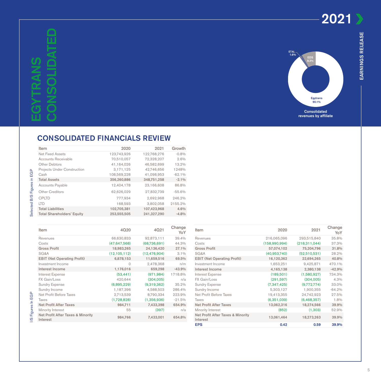2021

I/S Figures In EGP 3 Selected B/S Figures in EGP

I/S Figures In EGP

Selected B/S Figures in EGP



## **CONSOLIDATED FINANCIALS REVIEW**

| Item                               | 2020        | 2021        | Growth   |
|------------------------------------|-------------|-------------|----------|
| Net Fixed Assets                   | 123,743,926 | 122,768,276 | $-0.8%$  |
| Accounts Receivable                | 70.510.057  | 72.328.207  | 2.6%     |
| Other Debtors                      | 41.164.026  | 46.582.699  | 13.2%    |
| <b>Projects Under Construction</b> | 3,171,125   | 42,746,656  | 1248%    |
| Cash                               | 108,569,228 | 41,098,953  | $-62.1%$ |
| <b>Total Assets</b>                | 356,260,886 | 348,751,258 | $-2.1%$  |
| <b>Accounts Payable</b>            | 12.404.178  | 23.166.608  | 86.8%    |
| Other Creditors                    | 62,626,029  | 27.832.739  | $-55.6%$ |
| <b>CPITD</b>                       | 777,934     | 2,692,968   | 246.2%   |
| ITD.                               | 168.593     | 3.802.058   | 2155.2%  |
| <b>Total Liabilities</b>           | 102,705,381 | 107.423.968 | 4.6%     |
| <b>Total Shareholders' Equity</b>  | 253,555,505 | 241.327.290 | $-4.8%$  |
|                                    |             |             |          |

| Item                                                     | 4020           | 4021           | Change<br>YoY |
|----------------------------------------------------------|----------------|----------------|---------------|
| Revenues                                                 | 66,630,833     | 92,873,111     | 39.4%         |
| Costs                                                    | (47, 647, 568) | (68,736,691)   | 44.3%         |
| <b>Gross Profit</b>                                      | 18,983,265     | 24,136,420     | 27.1%         |
| SG&A                                                     | (12, 105, 112) | (12, 476, 904) | 3.1%          |
| <b>EBIT (Net Operating Profit)</b>                       | 6,878,153      | 11,659,516     | 69.5%         |
| Investment Income                                        | $\circ$        | 2,478,368      | n/m           |
| Interest Income                                          | 1,176,016      | 659,298        | $-43.9%$      |
| Interest Expense                                         | (53.441)       | (971, 984)     | 1718.8%       |
| FX Gain/Loss                                             | 420,644        | (304,005)      | n/a           |
| <b>Sundry Expense</b>                                    | (6,895,229)    | (9,319,362)    | 35.2%         |
| Sundry Income                                            | 1,187,396      | 4,588,503      | 286.4%        |
| Net Profit Before Taxes                                  | 2,713,539      | 8,790,334      | 223.9%        |
| <b>Taxes</b>                                             | (1,728,828)    | (1,356,936)    | $-21.5%$      |
| <b>Net Profit After Taxes</b>                            | 984,711        | 7,433,398      | 654.9%        |
| Minority Interest                                        | 55             | (397)          | n/a           |
| <b>Net Profit After Taxes &amp; Minority</b><br>Interest | 984,766        | 7,433,001      | 654.8%        |

| ltem                                                     | 2020          | 2021            | Change<br>YoY |
|----------------------------------------------------------|---------------|-----------------|---------------|
| Revenues                                                 | 216,065,096   | 293,515,840     | 35.8%         |
| Costs                                                    | (158,990,994) | (218, 311, 044) | 37.3%         |
| <b>Gross Profit</b>                                      | 57,074,102    | 75,204,796      | 31.8%         |
| SG&A                                                     | (40,953,740)  | (52, 510, 531)  | 28.2%         |
| <b>EBIT (Net Operating Profit)</b>                       | 16,120,362    | 22,694,265      | 40.8%         |
| Investment Income                                        | 1,653,251     | 9,425,871       | 470.1%        |
| Interest Income                                          | 4,165,138     | 2,380,138       | $-42.9%$      |
| Interest Expense                                         | (189, 501)    | (1,580,927)     | 734.3%        |
| FX Gain/Loss                                             | (291, 597)    | (304,005)       | 4.3%          |
| <b>Sundry Expense</b>                                    | (7,347,425)   | (9,772,774)     | 33.0%         |
| Sundry Income                                            | 5,303,127     | 1,900,355       | $-64.2%$      |
| Net Profit Before Taxes                                  | 19,413,355    | 24,742,923      | 27.5%         |
| Taxes                                                    | (6,351,039)   | (6,468,357)     | 1.8%          |
| <b>Net Profit After Taxes</b>                            | 13,062,316    | 18,274,566      | 39.9%         |
| Minority Interest                                        | (852)         | (1,303)         | 52.9%         |
| <b>Net Profit After Taxes &amp; Minority</b><br>Interest | 13,061,464    | 18,273,263      | 39.9%         |
| <b>EPS</b>                                               | 0.42          | 0.59            | 39.9%         |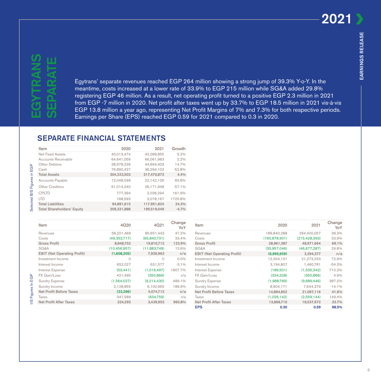# SEPARATE EGYTRANS ш

Egytrans' separate revenues reached EGP 264 million showing a strong jump of 39.3% Y-o-Y. In the meantime, costs increased at a lower rate of 33.9% to EGP 215 million while SG&A added 29.8% registering EGP 46 million. As a result, net operating profit turned to a positive EGP 2.3 million in 2021 from EGP -7 million in 2020. Net profit after taxes went up by 33.7% to EGP 18.5 million in 2021 vis-à-vis EGP 13.8 million a year ago, representing Net Profit Margins of 7% and 7.3% for both respective periods. Earnings per Share (EPS) reached EGP 0.59 for 2021 compared to 0.3 in 2020.

### **SEPARATE FINANCIAL STATEMENTS**

| Item                              | 2020        | 2021        | Growth   |
|-----------------------------------|-------------|-------------|----------|
| Net Fixed Assets                  | 40.013.474  | 42,089,855  | 5.2%     |
| Accounts Receivable               | 64.641.059  | 66.061.983  | 2.2%     |
| Other Debtors                     | 38,978,239  | 44.694.403  | 14.7%    |
| Cash                              | 76.890.427  | 36.294.102  | $-52.8%$ |
| <b>Total Assets</b>               | 304,223,503 | 317,470,873 | 4.4%     |
| <b>Accounts Payable</b>           | 12.048.048  | 22.142.126  | 83.8%    |
| Other Creditors                   | 61,014,240  | 26.171.948  | $-57.1%$ |
| <b>CPLTD</b>                      | 777.394     | 2.036.294   | 161.9%   |
| <b>ITD</b>                        | 168.593     | 3.078.167   | 1725.8%  |
| <b>Total Liabilities</b>          | 94.891.615  | 117.951.824 | 24.3%    |
| <b>Total Shareholders' Equity</b> | 209.331.888 | 199.519.049 | $-4.7%$  |
|                                   |             |             |          |

| Item                               | 4020           | 4021         | Change<br>YoY |
|------------------------------------|----------------|--------------|---------------|
| Revenues                           | 58.201.469     | 85,651,443   | 47.2%         |
| Costs                              | (49,352,717)   | (65.840.731) | 33.4%         |
| <b>Gross Profit</b>                | 8,848,752      | 19,810,712   | 123.9%        |
| SG&A                               | (10, 456, 957) | (11,883,749) | 13.6%         |
| <b>EBIT (Net Operating Profit)</b> | (1,608,205)    | 7,926,963    | n/a           |
| Investment Income                  | $\Omega$       | 0            | $0.0\%$       |
| Interest Income                    | 652,027        | 631,577      | $-3.1%$       |
| Interest Expense                   | (53, 441)      | (1,019,497)  | 1807.7%       |
| FX Gain/Loss                       | 421,495        | (350, 866)   | n/a           |
| <b>Sundry Expense</b>              | (1,564,027)    | (9,214,430)  | 489.1%        |
| Sundry Income                      | 2,128,855      | 6,100,965    | 186.6%        |
| <b>Net Profit Before Taxes</b>     | (23, 296)      | 4,074,712    | n/a           |
| Taxes                              | 347,589        | (634,759)    | n/a           |
| <b>Net Profit After Taxes</b>      | 324.293        | 3.439.953    | 960,8%        |

| Item                               | 2020            | 2021            | Change<br>YoY |
|------------------------------------|-----------------|-----------------|---------------|
| Revenues                           | 189,840,288     | 264.400.057     | 39.3%         |
| Costs                              | (160, 878, 901) | (215, 428, 393) | 33.9%         |
| <b>Gross Profit</b>                | 28,961,387      | 48,971,664      | 69.1%         |
| SG&A                               | (35,957,046)    | (46, 677, 287)  | 29.8%         |
| <b>EBIT (Net Operating Profit)</b> | (6.995.659)     | 2.294.377       | n/a           |
| Investment Income                  | 12,304,131      | 21,273,233      | 72.9%         |
| Interest Income                    | 3,194,807       | 1,460,781       | $-54.3%$      |
| Interest Expense                   | (189, 501)      | (1,535,342)     | 710.2%        |
| FX Gain/Loss                       | (334, 328)      | (350, 866)      | 4.9%          |
| <b>Sundry Expense</b>              | (1,988,769)     | (9.689.446)     | 387.2%        |
| Sundry Income                      | 8,904,171       | 7.644.379       | $-14.1%$      |
| <b>Net Profit Before Taxes</b>     | 14,894,852      | 21,097,116      | 41.6%         |
| Taxes                              | (1,026,142)     | (2,559,144)     | 149.4%        |
| <b>Net Profit After Taxes</b>      | 13,868,710      | 18,537,972      | 33.7%         |
| <b>EPS</b>                         | 0.30            | 0.59            | 98.5%         |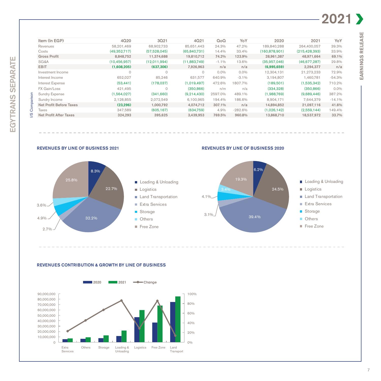# 2021 >

EARNINGS RELEASE

EARNINGS RELEASE

| Item (In EGP)                  | 4Q20         | 3021         | 4Q21         | QoQ     | YoY       | 2020          | 2021            | YoY      |
|--------------------------------|--------------|--------------|--------------|---------|-----------|---------------|-----------------|----------|
| Revenues                       | 58.201.469   | 68.902.733   | 85.651.443   | 24.3%   | 47.2%     | 189.840.288   | 264.400.057     | 39.3%    |
| Costs                          | (49,352,717) | (57,528,045) | (65,840,731) | 14.4%   | 33.4%     | (160.878.901) | (215, 428, 393) | 33.9%    |
| <b>Gross Profit</b>            | 8.848.752    | 11.374.688   | 19,810,712   | 74.2%   | 123.9%    | 28,961,387    | 48.971.664      | 69.1%    |
| SG&A                           | (10.456.957) | (12,011,994) | (11,883,749) | $-1.1%$ | 13.6%     | (35,957,046)  | (46,677,287)    | 29.8%    |
| <b>EBIT</b>                    | (1,608,205)  | (637, 306)   | 7,926,963    | n/a     | n/a       | (6,995,659)   | 2,294,377       | n/a      |
| Investment Income              | $\Omega$     | $\circ$      | $\circ$      | $0.0\%$ | $0.0\%$   | 12,304,131    | 21,273,233      | 72.9%    |
| Interest Income                | 652,027      | 85,246       | 631,577      | 640.9%  | $-3.1\%$  | 3.194.807     | 1,460,781       | $-54.3%$ |
| Interest Expense               | (53, 441)    | (178,037)    | (1.019.497)  | 472.6%  | 1807.7%   | (189,501)     | (1,535,342)     | 710.2%   |
| FX Gain/Loss                   | 421.495      | $\circ$      | (350, 866)   | n/m     | n/a       | (334, 328)    | (350, 866)      | $0.0\%$  |
| <b>Sundry Expense</b>          | (1,564,027)  | (341,660)    | (9,214,430)  | 2597.0% | 489.1%    | (1,988,769)   | (9,689,446)     | 387.2%   |
| Sundry Income                  | 2,128,855    | 2,072,549    | 6.100.965    | 194.4%  | 186.6%    | 8.904.171     | 7.644.379       | $-14.1%$ |
| <b>Net Profit Before Taxes</b> | (23, 296)    | 1,000,792    | 4,074,712    | 307.1%  | n/a       | 14,894,852    | 21,097,116      | 41.6%    |
| <b>Taxes</b>                   | 347,589      | (605, 167)   | (634,759)    | 4.9%    | $-282.6%$ | (1,026,142)   | (2,559,144)     | 149.4%   |
| <b>Net Profit After Taxes</b>  | 324,293      | 395.625      | 3,439,953    | 769.5%  | 960.8%    | 13,868,710    | 18,537,972      | 33.7%    |



EGYTRANS SEPARATE

EGYTRANS SEPARATE



Land Transportation

**Others** Free Zone

Storage Extra Services

**Logistics** 





Land Transportation **Logistics** 





Free Zone

#### REVENUES CONTRIBUTION & GROWTH BY LINE OF BUSINESS

32.2%

2.7%

4.9%

 $3.6\%$ 

22.7%



7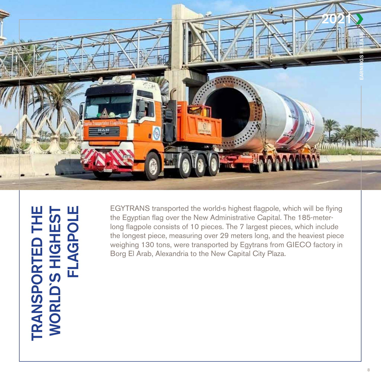

TRANSPORTED THE WORLD'S HIGHEST TRANSPORTED THE<br>WORLD'S HIGHEST<br>FLAGPOLE FLAGPOLE

EGYTRANS transported the world<sup>,</sup> shighest flagpole, which will be flying long flagpole consists of 10 pieces. The 7 largest pieces, which include the Egyptian flag over the New Administrative Capital. The 185-meterthe longest piece, measuring over 29 meters long, and the heaviest piece weighing 130 tons, were transported by Egytrans from GIECO factory in Borg El Arab, Alexandria to the New Capital City Plaza.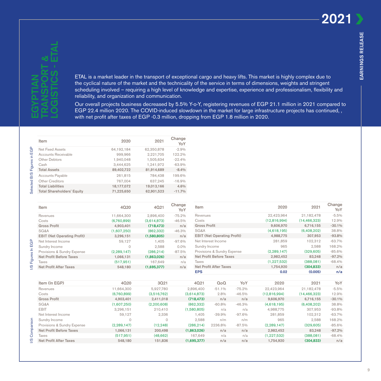Change

# EGYPTIAN & TRANSPORT ETAL - LOGISTICS

ETAL is a market leader in the transport of exceptional cargo and heavy lifts. This market is highly complex due to the cyclical nature of the market and the technicality of the service in terms of dimensions, weights and stringent scheduling involved - requiring a high level of knowledge and expertise, experience and professionalism, flexibility and reliability, and organization and communication.

Our overall projects business decreased by 5.5% Y-o-Y, registering revenues of EGP 21.1 million in 2021 compared to EGP 22.4 million 2020. The COVID-induced slowdown in the market for large infrastructure projects has continued,, with net profit after taxes of EGP -0.3 million, dropping from EGP 1.8 million in 2020.

-97.2% Net Profit Before Taxes 2006,131 and 200,498 (1,863,026) and taxes and 2,982,452 and 83,248 -97.2% -68.4% (517,951) (48,662) 167,649 n/a n/a (1,227,532) (388,081) -68.4% Net Profit After Taxes 548,180 151,836 (**1,695,377) n/a 1,754,920** (**304,833)** n/a

|                             | Item                               | 2020          | 2021          | Change<br>YoY |
|-----------------------------|------------------------------------|---------------|---------------|---------------|
|                             | <b>Net Fixed Assets</b>            | 64,192,184    | 62,350,878    | $-2.9%$       |
|                             | Accounts Receivable                | 999,966       | 2,221,705     | 122.2%        |
|                             | <b>Other Debtors</b>               | 1,940,048     | 1,505,634     | $-22.4%$      |
|                             | Cash                               | 3,444,625     | 1,241,972     | $-63.9%$      |
|                             | <b>Total Assets</b>                | 89,402,722    | 81,914,689    | $-8.4%$       |
|                             | <b>Accounts Payable</b>            | 261,815       | 784,438       | 199.6%        |
|                             | Other Creditors                    | 767,004       | 637,245       | $-16.9%$      |
|                             | <b>Total Liabilities</b>           | 18,177,072    | 19,013,166    | 4.6%          |
| Selected B/S Figures in EGP | <b>Total Shareholders' Equity</b>  | 71,225,650    | 62,901,523    | $-11.7%$      |
|                             |                                    |               |               |               |
|                             | Item                               | 4Q20          | 4021          | Change<br>YoY |
|                             | Revenues                           | 11,664,300    | 2,896,400     | $-75.2%$      |
|                             | Costs                              | (6,760,899)   | (3,614,873)   | $-46.5%$      |
|                             | <b>Gross Profit</b>                | 4,903,401     | (718, 473)    | n/a           |
|                             | SG&A                               | (1,607,250)   | (862, 332)    | $-46.3%$      |
|                             | <b>EBIT (Net Operating Profit)</b> | 3,296,151     | (1,580,805)   | n/a           |
|                             | Net Interest Income                | 59,127        | 1,405         | $-97.6%$      |
|                             | Sundry Income                      | 0             | 2,588         | $0.0\%$       |
|                             | Provisions & Sundry Expense        | (2, 289, 147) | (286, 214)    | $-87.5%$      |
| I/S Figures In EGP          | <b>Net Profit Before Taxes</b>     | 1,066,131     | (1,863,026)   | n/a           |
|                             | <b>Taxes</b>                       | (517, 951)    | 167,649       | n/a           |
|                             | <b>Net Profit After Taxes</b>      | 548,180       | (1,695,377)   | n/a           |
|                             |                                    |               |               |               |
|                             | Item (In EGP)                      | 4Q20          | 3021          |               |
|                             | Revenues                           | 11,664,300    | 5,927,780     |               |
|                             | Costs                              | (6,760,899)   | (3,516,762)   | (             |
|                             | <b>Gross Profit</b>                | 4,903,401     | 2,411,018     |               |
|                             | SG&A                               | (1,607,250)   | (2, 200, 608) |               |
|                             | <b>EBIT</b>                        | 3,296,151     | 210,410       | (             |
|                             | Net Interest Income                | 59,127        | 2,336         |               |
|                             | Sundry Income                      | $\circ$       | $\circ$       |               |
| Comparison                  | Provisions & Sundry Expense        | (2, 289, 147) | (12, 248)     |               |
|                             | <b>Net Profit Before Taxes</b>     | 1,066,131     | 200,498       | 1             |
|                             | Taxes                              | (517, 951)    | (48, 662)     |               |
| Q                           | <b>Net Profit After Taxes</b>      | 548,180       | 151,836       |               |

| Item                               | 4Q20          | 4Q21        | Change<br>YoY |
|------------------------------------|---------------|-------------|---------------|
| Revenues                           | 11,664,300    | 2.896.400   | $-75.2%$      |
| Costs                              | (6,760,899)   | (3,614,873) | $-46.5%$      |
| <b>Gross Profit</b>                | 4.903.401     | (718, 473)  | n/a           |
| SG&A                               | (1,607,250)   | (862,332)   | $-46.3%$      |
| <b>EBIT (Net Operating Profit)</b> | 3,296,151     | (1,580,805) | n/a           |
| Net Interest Income                | 59.127        | 1.405       | $-97.6%$      |
| Sundry Income                      | 0             | 2.588       | $0.0\%$       |
| Provisions & Sundry Expense        | (2, 289, 147) | (286, 214)  | $-87.5%$      |
| <b>Net Profit Before Taxes</b>     | 1,066,131     | (1,863,026) | n/a           |
| Taxes                              | (517, 951)    | 167,649     | n/a           |
| <b>Net Profit After Taxes</b>      | 548.180       | (1.695.377) | n/a           |

| Item                               | 4020          | 4Q21          | Change<br>YoY | <b>Item</b>         |                                    |          | 2020          | 2021           | Criange<br>YoY |
|------------------------------------|---------------|---------------|---------------|---------------------|------------------------------------|----------|---------------|----------------|----------------|
| Revenues                           | 11,664,300    | 2,896,400     | $-75.2%$      | Revenues            |                                    |          | 22,423,964    | 21,182,478     | $-5.5%$        |
| Costs                              | (6,760,899)   | (3,614,873)   | $-46.5%$      | Costs               |                                    |          | (12,816,994)  | (14, 466, 323) | 12.9%          |
| <b>Gross Profit</b>                | 4,903,401     | (718, 473)    | n/a           | <b>Gross Profit</b> |                                    |          | 9,606,970     | 6,716,155      | $-30.1%$       |
| SG&A                               | (1,607,250)   | (862, 332)    | $-46.3%$      | SG&A                |                                    |          | (4,618,195)   | (6,408,202)    | 38.8%          |
| <b>EBIT (Net Operating Profit)</b> | 3,296,151     | (1,580,805)   | n/a           |                     | <b>EBIT (Net Operating Profit)</b> |          | 4,988,775     | 307,953        | $-93.8%$       |
| Net Interest Income                | 59,127        | 1,405         | $-97.6%$      |                     | Net Interest Income                |          | 281,859       | 102,312        | $-63.7%$       |
| Sundry Income                      | $\Omega$      | 2,588         | $0.0\%$       | Sundry Income       |                                    |          | 965           | 2,588          | 168.2%         |
| Provisions & Sundry Expense        | (2, 289, 147) | (286, 214)    | $-87.5%$      |                     | Provisions & Sundry Expense        |          | (2, 289, 147) | (329, 605)     | $-85.6%$       |
| <b>Net Profit Before Taxes</b>     | 1,066,131     | (1,863,026)   | n/a           |                     | <b>Net Profit Before Taxes</b>     |          | 2,982,452     | 83,248         | $-97.2%$       |
| Taxes                              | (517, 951)    | 167,649       | n/a           | Taxes               |                                    |          | (1, 227, 532) | (388,081)      | $-68.4%$       |
| <b>Net Profit After Taxes</b>      | 548,180       | (1,695,377)   | n/a           |                     | <b>Net Profit After Taxes</b>      |          | 1,754,920     | (304, 833)     | n/a            |
|                                    |               |               |               | <b>EPS</b>          |                                    |          | 0.02          | (0.005)        | n/a            |
| Item (In EGP)                      | 4Q20          | 3Q21          |               | 4Q21                | QoQ                                | YoY      | 2020          | 2021           | YoY            |
| Revenues                           | 11,664,300    | 5,927,780     |               | 2,896,400           | $-51.1%$                           | $-75.2%$ | 22,423,964    | 21,182,478     | $-5.5%$        |
| Costs                              | (6,760,899)   | (3,516,762)   |               | (3,614,873)         | 2.8%                               | $-46.5%$ | (12,816,994)  | (14, 466, 323) | 12.9%          |
| <b>Gross Profit</b>                | 4,903,401     | 2,411,018     |               | (718, 473)          | n/a                                | n/a      | 9,606,970     | 6,716,155      | $-30.1%$       |
| SG&A                               | (1,607,250)   | (2, 200, 608) |               | (862, 332)          | $-60.8%$                           | $-46.3%$ | (4,618,195)   | (6,408,202)    | 38.8%          |
| <b>EBIT</b>                        | 3,296,151     | 210,410       |               | (1,580,805)         | n/a                                | n/a      | 4,988,775     | 307,953        | $-93.8%$       |
| Net Interest Income                | 59,127        | 2,336         |               | 1.405               | $-39.9%$                           | $-97.6%$ | 281,859       | 102,312        | $-63.7%$       |
| Sundry Income                      | $\Omega$      | $\Omega$      |               | 2,588               | n/m                                | n/m      | 965           | 2,588          | 168.2%         |
| Provisions & Sundry Expense        | (2, 289, 147) | (12, 248)     |               | (286, 214)          | 2236.8%                            | $-87.5%$ | (2, 289, 147) | (329, 605)     | $-85.6%$       |

9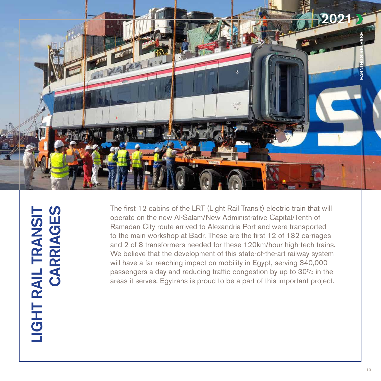

LIGHT RAIL TRANSIT LIGHT RAIL TRANSIT<br>CARRIAGES CARRIAGES

The first 12 cabins of the LRT (Light Rail Transit) electric train that will operate on the new Al-Salam/New Administrative Capital/Tenth of Ramadan City route arrived to Alexandria Port and were transported to the main workshop at Badr. These are the first 12 of 132 carriages and 2 of 8 transformers needed for these 120 km/hour high-tech trains. We believe that the development of this state-of-the-art railway system will have a far-reaching impact on mobility in Egypt, serving 340,000 passengers a day and reducing traffic congestion by up to 30% in the areas it serves. Egytrans is proud to be a part of this important project.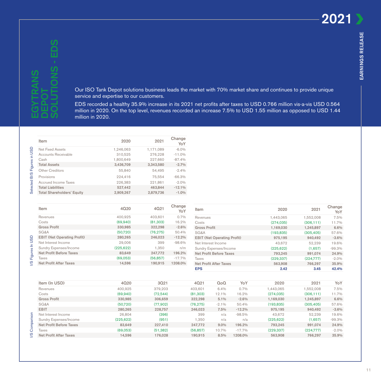Our ISO Tank Depot solutions business leads the market with 70% market share and continues to provide unique service and expertise to our customers.

EDS recorded a healthy 35.9% increase in its 2021 net profits after taxes to USD 0.766 million vis-a-vis USD 0.564 million in 2020. On the top level, revenues recorded an increase 7.5% to USD 1.55 million as opposed to USD 1.44 million in 2020.

|                             | Item                               | 2020       | 2021      | Change<br>YoY |
|-----------------------------|------------------------------------|------------|-----------|---------------|
|                             | <b>Net Fixed Assets</b>            | 1,246,063  | 1,171,089 | $-6.0%$       |
|                             | <b>Accounts Receivable</b>         | 310,525    | 276,228   | $-11.0%$      |
|                             | Cash                               | 1,800,649  | 227,660   | $-87.4%$      |
|                             | <b>Total Assets</b>                | 3,436,709  | 3,343,580 | $-2.7%$       |
| Selected B/S Figures in USD | Other Creditors                    | 55,840     | 54,495    | $-2.4%$       |
|                             | Provisions                         | 224,416    | 75,554    | $-66.3%$      |
|                             | <b>Accrued Income Taxes</b>        | 226,383    | 221,861   | $-2.0%$       |
|                             | <b>Total Liabilities</b>           | 527,442    | 463,844   | $-12.1%$      |
|                             | <b>Total Shareholders' Equity</b>  | 2,909,267  | 2,879,736 | $-1.0%$       |
|                             |                                    |            |           |               |
|                             | Item                               | 4Q20       | 4Q21      | Change<br>YoY |
|                             | Revenues                           | 400,925    | 403,601   | 0.7%          |
|                             | Costs                              | (69,940)   | (81, 303) | 16.2%         |
|                             | <b>Gross Profit</b>                | 330,985    | 322,298   | $-2.6%$       |
|                             | SG&A                               | (50, 720)  | (76, 275) | 50.4%         |
|                             | <b>EBIT (Net Operating Profit)</b> | 280,265    | 246,023   | $-12.2%$      |
|                             | Net Interest Income                | 29,006     | 399       | $-98.6%$      |
|                             | Sundry Expenses/Income             | (225, 622) | 1,350     | n/m           |
|                             | <b>Net Profit Before Taxes</b>     | 83,649     | 247,772   | 196.2%        |
| I/S Figures In USD          | Taxes                              | (69,053)   | (56, 857) | $-17.7%$      |
|                             | <b>Net Profit After Taxes</b>      | 14,596     | 190,915   | 1208.0%       |
|                             |                                    |            |           |               |
|                             | Item (In USD)                      | 4Q20       | 3021      |               |
|                             | Revenues                           | 400,925    | 379,203   |               |
|                             | Costs                              | (69,940)   | (72, 544) |               |
|                             | <b>Gross Profit</b>                | 330,985    | 306,659   |               |
|                             | SG&A                               | (50, 720)  | (77,902)  |               |
|                             | <b>EBIT</b>                        | 280,265    | 228,757   |               |
|                             | Net Interest Income                | 26,804     | (396)     |               |
| Comparison                  | Sundry Expenses/Income             | (225, 622) | (951)     |               |
|                             | <b>Net Profit Before Taxes</b>     | 83,649     | 227,410   |               |
|                             | Taxes                              | (69,053)   | (51, 382) |               |
| ဖ                           | <b>Net Profit After Taxes</b>      | 14,596     | 176,028   |               |

| Item                               | 4020       | 4021      | Change<br>YoY |
|------------------------------------|------------|-----------|---------------|
| Revenues                           | 400,925    | 403,601   | 0.7%          |
| Costs                              | (69,940)   | (81, 303) | 16.2%         |
| <b>Gross Profit</b>                | 330,985    | 322,298   | $-2.6%$       |
| <b>SG&amp;A</b>                    | (50, 720)  | (76, 275) | 50.4%         |
| <b>EBIT (Net Operating Profit)</b> | 280,265    | 246.023   | $-12.2%$      |
| Net Interest Income                | 29,006     | 399       | $-98.6%$      |
| Sundry Expenses/Income             | (225, 622) | 1.350     | n/m           |
| <b>Net Profit Before Taxes</b>     | 83,649     | 247,772   | 196.2%        |
| Taxes                              | (69,053)   | (56, 857) | $-17.7%$      |
| <b>Net Profit After Taxes</b>      | 14.596     | 190,915   | 1208.0%       |

| Item                               | 2020       | 2021       | Change<br>YoY |  |  |
|------------------------------------|------------|------------|---------------|--|--|
| Revenues                           | 1,443,065  | 1,552,008  | 7.5%          |  |  |
| Costs                              | (274.035)  | (306.111)  | 11.7%         |  |  |
| <b>Gross Profit</b>                | 1,169,030  | 1,245,897  | 6.6%          |  |  |
| SG&A                               | (193, 835) | (305, 405) | 57.6%         |  |  |
| <b>EBIT (Net Operating Profit)</b> | 975.195    | 940,492    |               |  |  |
| Net Interest Income                | 43.672     | 52,239     |               |  |  |
| Sundry Expenses/Income             | (225, 622) | (1,657)    | $-99.3%$      |  |  |
| <b>Net Profit Before Taxes</b>     | 793.245    | 991.074    | 24.9%         |  |  |
| Taxes                              | (229, 337) | (224.777)  | $-2.0%$       |  |  |
| <b>Net Profit After Taxes</b>      | 563,908    | 766.297    | 35,9%         |  |  |
| <b>EPS</b>                         | 2.42       | 3.45       | 42.4%         |  |  |
|                                    |            |            |               |  |  |
| 1001<br>$V_{\alpha}V$<br>$\sim$    | 0000       | 0011       | $V_{\alpha}V$ |  |  |

| ਠ<br>Com<br>ၯ<br>∼ | Item (In USD)           | 4Q20       | 3021      | 4021      | QοQ     | YoY      | 2020       | 2021       | YoY      |
|--------------------|-------------------------|------------|-----------|-----------|---------|----------|------------|------------|----------|
|                    | Revenues                | 400,925    | 379.203   | 403.601   | 6.4%    | 0.7%     | 1,443,065  | ,552,008   | 7.5%     |
|                    | Costs                   | (69,940)   | (72,544)  | (81, 303) | 12.1%   | 16.2%    | (274, 035) | (306, 111) | 11.7%    |
|                    | <b>Gross Profit</b>     | 330,985    | 306,659   | 322,298   | 5.1%    | $-2.6%$  | 1.169.030  | 1,245,897  | 6.6%     |
|                    | SG&A                    | (50, 720)  | (77,902)  | (76,275)  | $-2.1%$ | 50.4%    | (193,835)  | (305, 405) | 57.6%    |
|                    | <b>EBIT</b>             | 280,265    | 228,757   | 246,023   | 7.5%    | $-12.2%$ | 975.195    | 940,492    | $-3.6%$  |
|                    | Net Interest Income     | 26.804     | (396)     | 399       | n/a     | $-98.5%$ | 43.672     | 52.239     | 19.6%    |
|                    | Sundry Expenses/Income  | (225, 622) | (951)     | 1,350     | n/a     | n/a      | (225, 622) | (1.657)    | $-99.3%$ |
|                    | Net Profit Before Taxes | 83,649     | 227.410   | 247.772   | $9.0\%$ | 196.2%   | 793.245    | 991.074    | 24.9%    |
|                    | Taxes                   | (69,053)   | (51, 382) | (56, 857) | 10.7%   | $-17.7%$ | (229, 337) | (224, 777) | $-2.0\%$ |
|                    | Net Profit After Taxes  | 14.596     | 176,028   | 190.915   | 8.5%    | 1208.0%  | 563,908    | 766.297    | 35,9%    |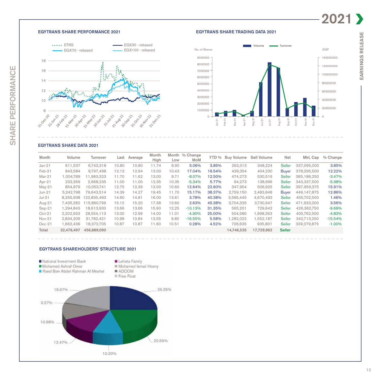#### **EGYTRANS SHARE PERFORMANCE 2021**



#### EGYTRANS SHARE TRADING DATA 2021



#### EGYTRANS SHARE DATA 2021

| Month    | Volume     | Turnover    | Last  | Average | Month<br>High | Low   | Month % Change<br>MoM | YTD %  | <b>Buv Volume</b> | Sell Volume | <b>Net</b>    | Mkt. Cap    | % Change  |
|----------|------------|-------------|-------|---------|---------------|-------|-----------------------|--------|-------------------|-------------|---------------|-------------|-----------|
| $Jan-21$ | 611.537    | 6,743,318   | 10.80 | 10.80   | 11.74         | 9.90  | 5.06%                 | 3.85%  | 263.313           | 348,224     | <b>Seller</b> | 337.095.000 | 3.85%     |
| $Feb-21$ | 843.584    | 9.797.498   | 12.12 | 12.64   | 13.00         | 10.43 | 17.04%                | 16.54% | 439.354           | 404.230     | <b>Buyer</b>  | 378.295.500 | 12.22%    |
| $Mar-21$ | 1,004,789  | 11,963,323  | 11.70 | 11.62   | 13.00         | 9.71  | $-8.07%$              | 12.50% | 474,273           | 530,516     | <b>Seller</b> | 365,186,250 | $-3.47%$  |
| Apr-21   | 233.269    | 2.668.235   | 11.00 | 11.00   | 12.35         | 10.35 | $-5.34%$              | 5.77%  | 94.273            | 138.996     | <b>Seller</b> | 343.337.500 | $-5.98%$  |
| $May-21$ | 854,879    | 10.053.741  | 12.75 | 12.39   | 13.00         | 10.60 | 12.64%                | 22.60% | 347,954           | 506,925     | <b>Seller</b> | 397.959.375 | 15.91%    |
| $Jun-21$ | 5.242.798  | 79.643.514  | 14.39 | 14.27   | 19.45         | 11.70 | 15.17%                | 38.37% | 2.759.150         | 2.483.648   | <b>Buyer</b>  | 449.147.875 | 12.86%    |
| $Jul-21$ | 8.255.938  | 22.835.493  | 14.60 | 14.81   | 16.00         | 13.61 | 3.78%                 | 40.38% | 3.585.445         | 4,670,493   | <b>Seller</b> | 455,702,500 | 1.46%     |
| Aug-21   | 7.435.282  | 15.860.799  | 15.12 | 15.20   | 17.38         | 13.60 | 2.63%                 | 45.38% | 3.704.335         | 3.730.947   | <b>Seller</b> | 471.933.000 | 3.56%     |
| $Sep-21$ | 1.294.843  | 18.613.930  | 13.66 | 13.66   | 15.90         | 12.25 | $-10.13%$             | 31.35% | 565.201           | 729.642     | <b>Seller</b> | 426.362.750 | $-9.66%$  |
| $Oct-21$ | 2.202.933  | 28.554.113  | 13.00 | 12.99   | 14.00         | 11.01 | $-4.90%$              | 25.00% | 504.580           | 1.698.353   | <b>Seller</b> | 405.762.500 | $-4.83%$  |
| $Nov-21$ | 2.834.209  | 31.782.421  | 10.98 | 10.84   | 13.55         | 9.80  | $-16.55%$             | 5.58%  | .282.022          | 1,552,187   | <b>Seller</b> | 342.713.250 | $-15.54%$ |
| $Dec-21$ | 1.662.436  | 18.372.705  | 10.87 | 10.87   | 11.60         | 10.51 | 0.28%                 | 4.52%  | 726.635           | 935.801     | Seller        | 339.279.875 | $-1.00%$  |
| Total    | 32,476,497 | 456,889,090 |       |         |               |       |                       |        | 14,746,535        | 17,729,962  | <b>Seller</b> |             |           |

#### EGYTRANS SHAREHOLDERS' STRUCTURE 2021

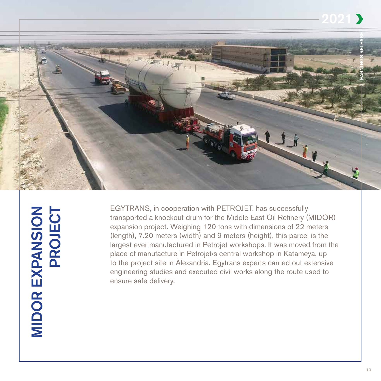

**MIDOR EXPANSION** MIDOR EXPANSION<br>PROJECT PROJECT

EGYTRANS, in cooperation with PETROJET, has successfully transported a knockout drum for the Middle East Oil Refinery (MIDOR) expansion project. Weighing 120 tons with dimensions of 22 meters (length),  $7.20$  meters (width) and  $9$  meters (height), this parcel is the largest ever manufactured in Petrojet workshops. It was moved from the place of manufacture in Petrojet's central workshop in Katameya, up to the project site in Alexandria. Egytrans experts carried out extensive engineering studies and executed civil works along the route used to ensure safe delivery.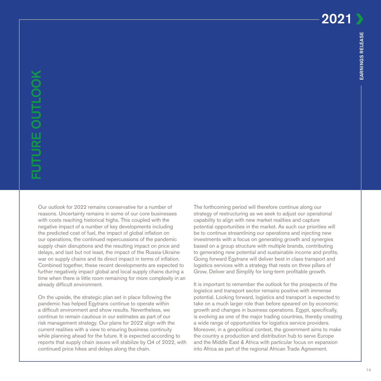14

2021

Our outlook for 2022 remains conservative for a number of reasons. Uncertainty remains in some of our core businesses with costs reaching historical highs. This coupled with the negative impact of a number of key developments including the predicted cost of fuel, the impact of global inflation on our operations, the continued repercussions of the pandemic supply chain disruptions and the resulting impact on price and delays, and last but not least, the impact of the Russia-Ukraine war on supply chains and its direct impact in terms of inflation. Combined together, these recent developments are expected to further negatively impact global and local supply chains during a time when there is little room remaining for more complexity in an already difficult environment.

On the upside, the strategic plan set in place following the pandemic has helped Egytrans continue to operate within a difficult environment and show results. Nevertheless, we continue to remain cautious in our estimates as part of our risk management strategy. Our plans for 2022 align with the current realities with a view to ensuring business continuity while planning ahead for the future. It is expected according to reports that supply chain issues will stabilize by Q4 of 2022, with continued price hikes and delays along the chain.

The forthcoming period will therefore continue along our strategy of restructuring as we seek to adjust our operational capability to align with new market realities and capture potential opportunities in the market. As such our priorities will be to continue streamlining our operations and injecting new investments with a focus on generating growth and synergies based on a group structure with multiple brands, contributing to generating new potential and sustainable income and profits. Going forward Egytrans will deliver best in class transport and logistics services with a strategy that rests on three pillars of Grow, Deliver and Simplify for long-term profitable growth.

It is important to remember the outlook for the prospects of the logistics and transport sector remains positive with immense potential. Looking forward, logistics and transport is expected to take on a much larger role than before speared on by economic growth and changes in business operations. Egypt, specifically, is evolving as one of the major trading countries, thereby creating a wide range of opportunities for logistics service providers. Moreover, in a geopolitical context, the government aims to make the country a production and distribution hub to serve Europe and the Middle East & Africa with particular focus on expansion into Africa as part of the regional African Trade Agreement.